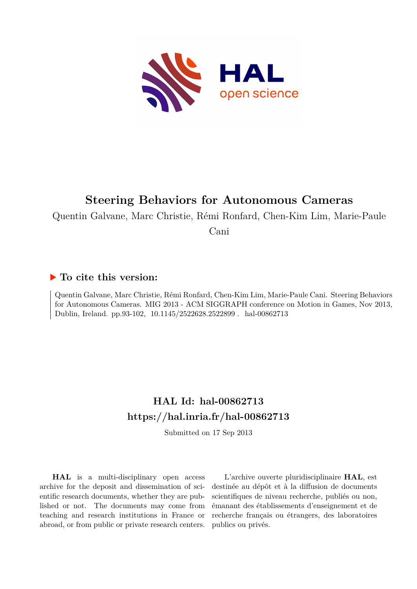

# **Steering Behaviors for Autonomous Cameras**

Quentin Galvane, Marc Christie, Rémi Ronfard, Chen-Kim Lim, Marie-Paule

Cani

# **To cite this version:**

Quentin Galvane, Marc Christie, Rémi Ronfard, Chen-Kim Lim, Marie-Paule Cani. Steering Behaviors for Autonomous Cameras. MIG 2013 - ACM SIGGRAPH conference on Motion in Games, Nov 2013, Dublin, Ireland. pp.93-102, 10.1145/2522628.2522899 . hal-00862713

# **HAL Id: hal-00862713 <https://hal.inria.fr/hal-00862713>**

Submitted on 17 Sep 2013

**HAL** is a multi-disciplinary open access archive for the deposit and dissemination of scientific research documents, whether they are published or not. The documents may come from teaching and research institutions in France or abroad, or from public or private research centers.

L'archive ouverte pluridisciplinaire **HAL**, est destinée au dépôt et à la diffusion de documents scientifiques de niveau recherche, publiés ou non, émanant des établissements d'enseignement et de recherche français ou étrangers, des laboratoires publics ou privés.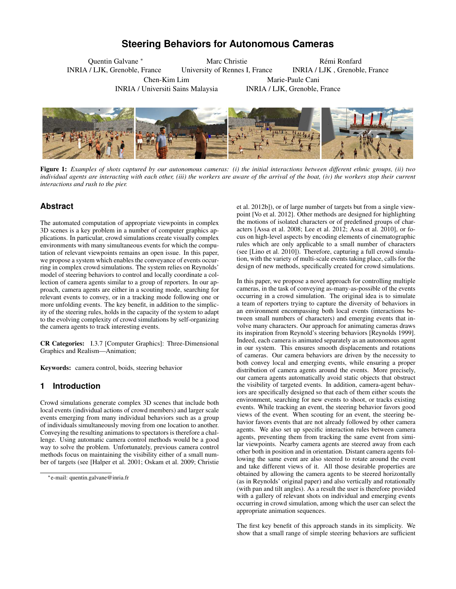# **Steering Behaviors for Autonomous Cameras**

<span id="page-1-0"></span>Quentin Galvane <sup>∗</sup> INRIA / LJK, Grenoble, France Chen-Kim Lim

INRIA / Universiti Sains Malaysia

Marc Christie University of Rennes I, France

Rémi Ronfard INRIA / LJK , Grenoble, France Marie-Paule Cani INRIA / LJK, Grenoble, France



Figure 1: *Examples of shots captured by our autonomous cameras: (i) the initial interactions between different ethnic groups, (ii) two individual agents are interacting with each other, (iii) the workers are aware of the arrival of the boat, (iv) the workers stop their current interactions and rush to the pier.*

# **Abstract**

The automated computation of appropriate viewpoints in complex 3D scenes is a key problem in a number of computer graphics applications. In particular, crowd simulations create visually complex environments with many simultaneous events for which the computation of relevant viewpoints remains an open issue. In this paper, we propose a system which enables the conveyance of events occurring in complex crowd simulations. The system relies on Reynolds' model of steering behaviors to control and locally coordinate a collection of camera agents similar to a group of reporters. In our approach, camera agents are either in a scouting mode, searching for relevant events to convey, or in a tracking mode following one or more unfolding events. The key benefit, in addition to the simplicity of the steering rules, holds in the capacity of the system to adapt to the evolving complexity of crowd simulations by self-organizing the camera agents to track interesting events.

CR Categories: I.3.7 [Computer Graphics]: Three-Dimensional Graphics and Realism—Animation;

Keywords: camera control, boids, steering behavior

## **1 Introduction**

Crowd simulations generate complex 3D scenes that include both local events (individual actions of crowd members) and larger scale events emerging from many individual behaviors such as a group of individuals simultaneously moving from one location to another. Conveying the resulting animations to spectators is therefore a challenge. Using automatic camera control methods would be a good way to solve the problem. Unfortunately, previous camera control methods focus on maintaining the visibility either of a small number of targets (see [\[Halper et al. 2001;](#page-9-0) [Oskam et al. 2009;](#page-9-1) [Christie](#page-9-2) [et al. 2012b\]](#page-9-2)), or of large number of targets but from a single viewpoint [\[Vo et al. 2012\]](#page-9-3). Other methods are designed for highlighting the motions of isolated characters or of predefined groups of characters [\[Assa et al. 2008;](#page-9-4) [Lee et al. 2012;](#page-9-5) [Assa et al. 2010\]](#page-9-6), or focus on high-level aspects by encoding elements of cinematographic rules which are only applicable to a small number of characters (see [\[Lino et al. 2010\]](#page-9-7)). Therefore, capturing a full crowd simulation, with the variety of multi-scale events taking place, calls for the design of new methods, specifically created for crowd simulations.

In this paper, we propose a novel approach for controlling multiple cameras, in the task of conveying as-many-as-possible of the events occurring in a crowd simulation. The original idea is to simulate a team of reporters trying to capture the diversity of behaviors in an environment encompassing both local events (interactions between small numbers of characters) and emerging events that involve many characters. Our approach for animating cameras draws its inspiration from Reynold's steering behaviors [\[Reynolds 1999\]](#page-9-8). Indeed, each camera is animated separately as an autonomous agent in our system. This ensures smooth displacements and rotations of cameras. Our camera behaviors are driven by the necessity to both convey local and emerging events, while ensuring a proper distribution of camera agents around the events. More precisely, our camera agents automatically avoid static objects that obstruct the visibility of targeted events. In addition, camera-agent behaviors are specifically designed so that each of them either scouts the environment, searching for new events to shoot, or tracks existing events. While tracking an event, the steering behavior favors good views of the event. When scouting for an event, the steering behavior favors events that are not already followed by other camera agents. We also set up specific interaction rules between camera agents, preventing them from tracking the same event from similar viewpoints. Nearby camera agents are steered away from each other both in position and in orientation. Distant camera agents following the same event are also steered to rotate around the event and take different views of it. All those desirable properties are obtained by allowing the camera agents to be steered horizontally (as in Reynolds' original paper) and also vertically and rotationally (with pan and tilt angles). As a result the user is therefore provided with a gallery of relevant shots on individual and emerging events occurring in crowd simulation, among which the user can select the appropriate animation sequences.

The first key benefit of this approach stands in its simplicity. We show that a small range of simple steering behaviors are sufficient

<sup>∗</sup>[e-mail: quentin.galvane@inria.fr](#page-9-2)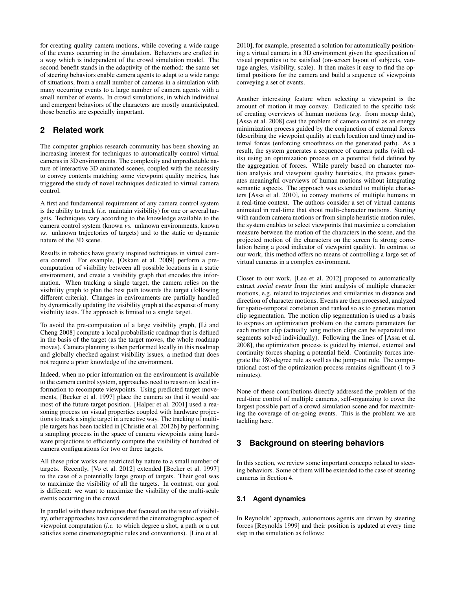for creating quality camera motions, while covering a wide range of the events occurring in the simulation. Behaviors are crafted in a way which is independent of the crowd simulation model. The second benefit stands in the adaptivity of the method: the same set of steering behaviors enable camera agents to adapt to a wide range of situations, from a small number of cameras in a simulation with many occurring events to a large number of camera agents with a small number of events. In crowd simulations, in which individual and emergent behaviors of the characters are mostly unanticipated, those benefits are especially important.

# **2 Related work**

The computer graphics research community has been showing an increasing interest for techniques to automatically control virtual cameras in 3D environments. The complexity and unpredictable nature of interactive 3D animated scenes, coupled with the necessity to convey contents matching some viewpoint quality metrics, has triggered the study of novel techniques dedicated to virtual camera control.

A first and fundamental requirement of any camera control system is the ability to track (*i.e.* maintain visibility) for one or several targets. Techniques vary according to the knowledge available to the camera control system (known *vs.* unknown environments, known *vs.* unknown trajectories of targets) and to the static or dynamic nature of the 3D scene.

Results in robotics have greatly inspired techniques in virtual camera control. For example, [\[Oskam et al. 2009\]](#page-9-1) perform a precomputation of visibility between all possible locations in a static environment, and create a visibility graph that encodes this information. When tracking a single target, the camera relies on the visibility graph to plan the best path towards the target (following different criteria). Changes in environments are partially handled by dynamically updating the visibility graph at the expense of many visibility tests. The approach is limited to a single target.

To avoid the pre-computation of a large visibility graph, [\[Li and](#page-9-9) [Cheng 2008\]](#page-9-9) compute a local probabilistic roadmap that is defined in the basis of the target (as the target moves, the whole roadmap moves). Camera planning is then performed locally in this roadmap and globally checked against visibility issues, a method that does not require a prior knowledge of the environment.

Indeed, when no prior information on the environment is available to the camera control system, approaches need to reason on local information to recompute viewpoints. Using predicted target movements, [\[Becker et al. 1997\]](#page-9-10) place the camera so that it would see most of the future target position. [\[Halper et al. 2001\]](#page-9-0) used a reasoning process on visual properties coupled with hardware projections to track a single target in a reactive way. The tracking of multiple targets has been tackled in [\[Christie et al. 2012b\]](#page-9-2) by performing a sampling process in the space of camera viewpoints using hardware projections to efficiently compute the visibility of hundred of camera configurations for two or three targets.

All these prior works are restricted by nature to a small number of targets. Recently, [\[Vo et al. 2012\]](#page-9-3) extended [\[Becker et al. 1997\]](#page-9-10) to the case of a potentially large group of targets. Their goal was to maximize the visibility of all the targets. In contrast, our goal is different: we want to maximize the visibility of the multi-scale events occurring in the crowd.

In parallel with these techniques that focused on the issue of visibility, other approaches have considered the cinematographic aspect of viewpoint computation (*i.e.* to which degree a shot, a path or a cut satisfies some cinematographic rules and conventions). [\[Lino et al.](#page-9-7)

[2010\]](#page-9-7), for example, presented a solution for automatically positioning a virtual camera in a 3D environment given the specification of visual properties to be satisfied (on-screen layout of subjects, vantage angles, visibility, scale). It then makes it easy to find the optimal positions for the camera and build a sequence of viewpoints conveying a set of events.

Another interesting feature when selecting a viewpoint is the amount of motion it may convey. Dedicated to the specific task of creating overviews of human motions (*e.g.* from mocap data), [\[Assa et al. 2008\]](#page-9-4) cast the problem of camera control as an energy minimization process guided by the conjunction of external forces (describing the viewpoint quality at each location and time) and internal forces (enforcing smoothness on the generated path). As a result, the system generates a sequence of camera paths (with edits) using an optimization process on a potential field defined by the aggregation of forces. While purely based on character motion analysis and viewpoint quality heuristics, the process generates meaningful overviews of human motions without integrating semantic aspects. The approach was extended to multiple characters [\[Assa et al. 2010\]](#page-9-6), to convey motions of multiple humans in a real-time context. The authors consider a set of virtual cameras animated in real-time that shoot multi-character motions. Starting with random camera motions or from simple heuristic motion rules, the system enables to select viewpoints that maximize a correlation measure between the motion of the characters in the scene, and the projected motion of the characters on the screen (a strong correlation being a good indicator of viewpoint quality). In contrast to our work, this method offers no means of controlling a large set of virtual cameras in a complex environment.

Closer to our work, [\[Lee et al. 2012\]](#page-9-5) proposed to automatically extract *social events* from the joint analysis of multiple character motions, e.g. related to trajectories and similarities in distance and direction of character motions. Events are then processed, analyzed for spatio-temporal correlation and ranked so as to generate motion clip segmentation. The motion clip segmentation is used as a basis to express an optimization problem on the camera parameters for each motion clip (actually long motion clips can be separated into segments solved individually). Following the lines of [\[Assa et al.](#page-9-4) [2008\]](#page-9-4), the optimization process is guided by internal, external and continuity forces shaping a potential field. Continuity forces integrate the 180-degree rule as well as the jump-cut rule. The computational cost of the optimization process remains significant (1 to 3 minutes).

None of these contributions directly addressed the problem of the real-time control of multiple cameras, self-organizing to cover the largest possible part of a crowd simulation scene and for maximizing the coverage of on-going events. This is the problem we are tackling here.

## **3 Background on steering behaviors**

In this section, we review some important concepts related to steering behaviors. Some of them will be extended to the case of steering cameras in Section [4.](#page-3-0)

#### **3.1 Agent dynamics**

In Reynolds' approach, autonomous agents are driven by steering forces [\[Reynolds 1999\]](#page-9-8) and their position is updated at every time step in the simulation as follows: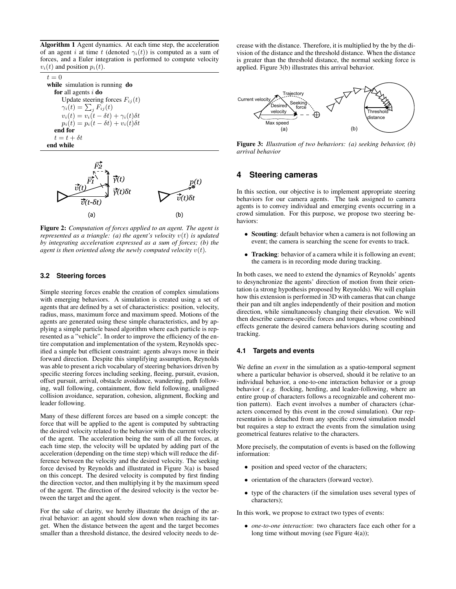Algorithm 1 Agent dynamics. At each time step, the acceleration of an agent i at time t (denoted  $\gamma_i(t)$ ) is computed as a sum of forces, and a Euler integration is performed to compute velocity  $v_i(t)$  and position  $p_i(t)$ .

| $t=0$                                               |
|-----------------------------------------------------|
| while simulation is running do                      |
| <b>for</b> all agents $i$ <b>do</b>                 |
| Update steering forces $F_{ij}(t)$                  |
| $\gamma_i(t) = \sum_i F_{ij}(t)$                    |
| $v_i(t) = v_i(t - \delta t) + \gamma_i(t) \delta t$ |
| $p_i(t) = p_i(t - \delta t) + v_i(t)\delta t$       |
| end for                                             |
| $t = t + \delta t$                                  |
| end while                                           |
|                                                     |



Figure 2: *Computation of forces applied to an agent. The agent is represented as a triangle: (a) the agent's velocity* v(t) *is updated by integrating acceleration expressed as a sum of forces; (b) the agent is then oriented along the newly computed velocity*  $v(t)$ *.* 

#### **3.2 Steering forces**

Simple steering forces enable the creation of complex simulations with emerging behaviors. A simulation is created using a set of agents that are defined by a set of characteristics: position, velocity, radius, mass, maximum force and maximum speed. Motions of the agents are generated using these simple characteristics, and by applying a simple particle based algorithm where each particle is represented as a "vehicle". In order to improve the efficiency of the entire computation and implementation of the system, Reynolds specified a simple but efficient constraint: agents always move in their forward direction. Despite this simplifying assumption, Reynolds was able to present a rich vocabulary of steering behaviors driven by specific steering forces including seeking, fleeing, pursuit, evasion, offset pursuit, arrival, obstacle avoidance, wandering, path following, wall following, containment, flow field following, unaligned collision avoidance, separation, cohesion, alignment, flocking and leader following.

Many of these different forces are based on a simple concept: the force that will be applied to the agent is computed by subtracting the desired velocity related to the behavior with the current velocity of the agent. The acceleration being the sum of all the forces, at each time step, the velocity will be updated by adding part of the acceleration (depending on the time step) which will reduce the difference between the velocity and the desired velocity. The seeking force devised by Reynolds and illustrated in Figure [3\(](#page-3-1)a) is based on this concept. The desired velocity is computed by first finding the direction vector, and then multiplying it by the maximum speed of the agent. The direction of the desired velocity is the vector between the target and the agent.

For the sake of clarity, we hereby illustrate the design of the arrival behavior: an agent should slow down when reaching its target. When the distance between the agent and the target becomes smaller than a threshold distance, the desired velocity needs to decrease with the distance. Therefore, it is multiplied by the by the division of the distance and the threshold distance. When the distance is greater than the threshold distance, the normal seeking force is applied. Figure [3\(](#page-3-1)b) illustrates this arrival behavior.

<span id="page-3-1"></span>

Figure 3: *Illustration of two behaviors: (a) seeking behavior, (b) arrival behavior*

# <span id="page-3-0"></span>**4 Steering cameras**

In this section, our objective is to implement appropriate steering behaviors for our camera agents. The task assigned to camera agents is to convey individual and emerging events occurring in a crowd simulation. For this purpose, we propose two steering behaviors:

- Scouting: default behavior when a camera is not following an event; the camera is searching the scene for events to track.
- Tracking: behavior of a camera while it is following an event; the camera is in recording mode during tracking.

In both cases, we need to extend the dynamics of Reynolds' agents to desynchronize the agents' direction of motion from their orientation (a strong hypothesis proposed by Reynolds). We will explain how this extension is performed in 3D with cameras that can change their pan and tilt angles independently of their position and motion direction, while simultaneously changing their elevation. We will then describe camera-specific forces and torques, whose combined effects generate the desired camera behaviors during scouting and tracking.

#### **4.1 Targets and events**

We define an *event* in the simulation as a spatio-temporal segment where a particular behavior is observed, should it be relative to an individual behavior, a one-to-one interaction behavior or a group behavior ( *e.g.* flocking, herding, and leader-following, where an entire group of characters follows a recognizable and coherent motion pattern). Each event involves a number of characters (characters concerned by this event in the crowd simulation). Our representation is detached from any specific crowd simulation model but requires a step to extract the events from the simulation using geometrical features relative to the characters.

More precisely, the computation of events is based on the following information:

- position and speed vector of the characters;
- orientation of the characters (forward vector).
- type of the characters (if the simulation uses several types of characters);

In this work, we propose to extract two types of events:

• *one-to-one interaction*: two characters face each other for a long time without moving (see Figure [4\(](#page-4-0)a));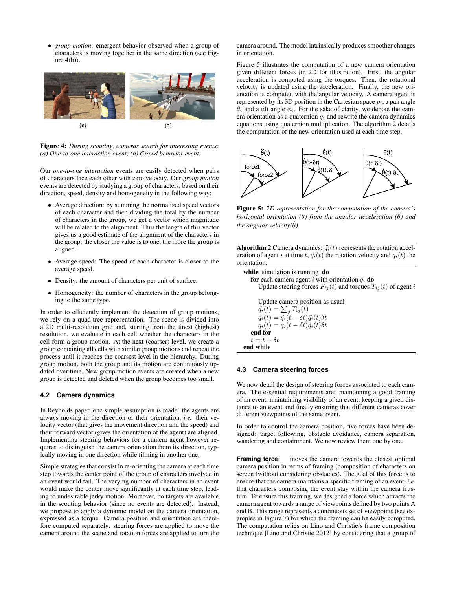• *group motion*: emergent behavior observed when a group of characters is moving together in the same direction (see Figure [4\(](#page-4-0)b)).

<span id="page-4-0"></span>

Figure 4: *During scouting, cameras search for interesting events: (a) One-to-one interaction event; (b) Crowd behavior event.*

Our *one-to-one interaction* events are easily detected when pairs of characters face each other with zero velocity. Our *group motion* events are detected by studying a group of characters, based on their direction, speed, density and homogeneity in the following way:

- Average direction: by summing the normalized speed vectors of each character and then dividing the total by the number of characters in the group, we get a vector which magnitude will be related to the alignment. Thus the length of this vector gives us a good estimate of the alignment of the characters in the group: the closer the value is to one, the more the group is aligned.
- Average speed: The speed of each character is closer to the average speed.
- Density: the amount of characters per unit of surface.
- Homogeneity: the number of characters in the group belonging to the same type.

In order to efficiently implement the detection of group motions, we rely on a quad-tree representation. The scene is divided into a 2D multi-resolution grid and, starting from the finest (highest) resolution, we evaluate in each cell whether the characters in the cell form a group motion. At the next (coarser) level, we create a group containing all cells with similar group motions and repeat the process until it reaches the coarsest level in the hierarchy. During group motion, both the group and its motion are continuously updated over time. New group motion events are created when a new group is detected and deleted when the group becomes too small.

#### **4.2 Camera dynamics**

In Reynolds paper, one simple assumption is made: the agents are always moving in the direction or their orientation, *i.e.* their velocity vector (that gives the movement direction and the speed) and their forward vector (gives the orientation of the agent) are aligned. Implementing steering behaviors for a camera agent however requires to distinguish the camera orientation from its direction, typically moving in one direction while filming in another one.

Simple strategies that consist in re-orienting the camera at each time step towards the center point of the group of characters involved in an event would fail. The varying number of characters in an event would make the center move significantly at each time step, leading to undesirable jerky motion. Moreover, no targets are available in the scouting behavior (since no events are detected). Instead, we propose to apply a dynamic model on the camera orientation, expressed as a torque. Camera position and orientation are therefore computed separately: steering forces are applied to move the camera around the scene and rotation forces are applied to turn the

camera around. The model intrinsically produces smoother changes in orientation.

Figure [5](#page-4-1) illustrates the computation of a new camera orientation given different forces (in 2D for illustration). First, the angular acceleration is computed using the torques. Then, the rotational velocity is updated using the acceleration. Finally, the new orientation is computed with the angular velocity. A camera agent is represented by its 3D position in the Cartesian space  $p_i$ , a pan angle  $\theta_i$  and a tilt angle  $\phi_i$ . For the sake of clarity, we denote the camera orientation as a quaternion  $q_i$  and rewrite the camera dynamics equations using quaternion multiplication. The algorithm [2](#page-1-0) details the computation of the new orientation used at each time step.

<span id="page-4-1"></span>

Figure 5: *2D representation for the computation of the camera's horizontal orientation* ( $\theta$ *) from the angular acceleration* ( $\ddot{\theta}$ *) and the angular velocity(* $\theta$ *).* 

Algorithm 2 Camera dynamics:  $\ddot{q}_i(t)$  represents the rotation acceleration of agent i at time t,  $\dot{q}_i(t)$  the rotation velocity and  $q_i(t)$  the orientation.

```
while simulation is running do
for each camera agent i with orientation q_i do
    Update steering forces F_{ij}(t) and torques T_{ij}(t) of agent i
    Update camera position as usual
    \ddot{q_i}(t) = \sum_j T_{ij}(t)\dot{q}_i(t) = \dot{q}_i(t-\delta t) \ddot{q}_i(t) \delta tq_i(t) = q_i(t - \delta t) \dot{q}_i(t) \delta tend for
t = t + \delta tend while
```
#### **4.3 Camera steering forces**

We now detail the design of steering forces associated to each camera. The essential requirements are: maintaining a good framing of an event, maintaining visibility of an event, keeping a given distance to an event and finally ensuring that different cameras cover different viewpoints of the same event.

In order to control the camera position, five forces have been designed: target following, obstacle avoidance, camera separation, wandering and containment. We now review them one by one.

**Framing force:** moves the camera towards the closest optimal camera position in terms of framing (composition of characters on screen (without considering obstacles). The goal of this force is to ensure that the camera maintains a specific framing of an event, *i.e.* that characters composing the event stay within the camera frustum. To ensure this framing, we designed a force which attracts the camera agent towards a range of viewpoints defined by two points A and B. This range represents a continuous set of viewpoints (see examples in Figure [7\)](#page-5-0) for which the framing can be easily computed. The computation relies on Lino and Christie's frame composition technique [\[Lino and Christie 2012\]](#page-9-11) by considering that a group of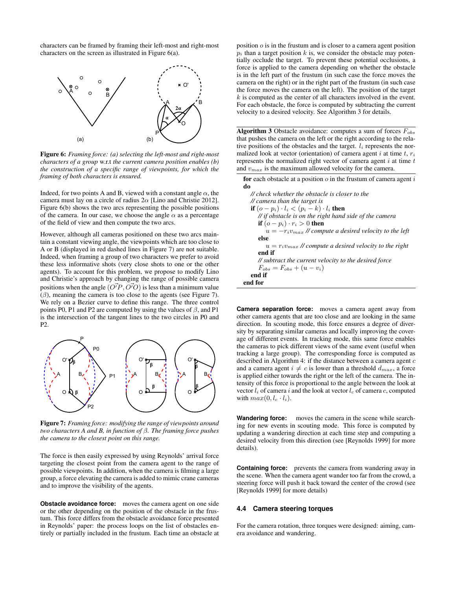characters can be framed by framing their left-most and right-most characters on the screen as illustrated in Figure [6\(](#page-5-1)a).

<span id="page-5-1"></span>

Figure 6: *Framing force: (a) selecting the left-most and right-most characters of a group* w.r.t *the current camera position enables (b) the construction of a specific range of viewpoints, for which the framing of both characters is ensured.*

Indeed, for two points A and B, viewed with a constant angle  $\alpha$ , the camera must lay on a circle of radius  $2\alpha$  [\[Lino and Christie 2012\]](#page-9-11). Figure [6\(](#page-5-1)b) shows the two arcs representing the possible positions of the camera. In our case, we choose the angle  $\alpha$  as a percentage of the field of view and then compute the two arcs.

However, although all cameras positioned on these two arcs maintain a constant viewing angle, the viewpoints which are too close to A or B (displayed in red dashed lines in Figure [7\)](#page-5-0) are not suitable. Indeed, when framing a group of two characters we prefer to avoid these less informative shots (very close shots to one or the other agents). To account for this problem, we propose to modify Lino and Christie's approach by changing the range of possible camera positions when the angle  $(\overrightarrow{O'P}, \overrightarrow{O'O})$  is less than a minimum value  $(\beta)$ , meaning the camera is too close to the agents (see Figure [7\)](#page-5-0). We rely on a Bezier curve to define this range. The three control points P0, P1 and P2 are computed by using the values of  $\beta$ , and P1 is the intersection of the tangent lines to the two circles in P0 and P2.

<span id="page-5-0"></span>

Figure 7: *Framing force: modifying the range of viewpoints around two characters A and B, in function of* β*. The framing force pushes the camera to the closest point on this range.*

The force is then easily expressed by using Reynolds' arrival force targeting the closest point from the camera agent to the range of possible viewpoints. In addition, when the camera is filming a large group, a force elevating the camera is added to mimic crane cameras and to improve the visibility of the agents.

**Obstacle avoidance force:** moves the camera agent on one side or the other depending on the position of the obstacle in the frustum. This force differs from the obstacle avoidance force presented in Reynolds' paper: the process loops on the list of obstacles entirely or partially included in the frustum. Each time an obstacle at

position o is in the frustum and is closer to a camera agent position  $p_i$  than a target position k is, we consider the obstacle may potentially occlude the target. To prevent these potential occlusions, a force is applied to the camera depending on whether the obstacle is in the left part of the frustum (in such case the force moves the camera on the right) or in the right part of the frustum (in such case the force moves the camera on the left). The position of the target  $k$  is computed as the center of all characters involved in the event. For each obstacle, the force is computed by subtracting the current velocity to a desired velocity. See Algorithm [3](#page-1-0) for details.

Algorithm 3 Obstacle avoidance: computes a sum of forces  $F_{obs}$ that pushes the camera on the left or the right according to the relative positions of the obstacles and the target.  $l_i$  represents the normalized look at vector (orientation) of camera agent i at time  $t, r_i$ represents the normalized right vector of camera agent  $i$  at time  $t$ and  $v_{max}$  is the maximum allowed velocity for the camera.

for each obstacle at a position  $o$  in the frustum of camera agent  $i$ do

| // check whether the obstacle is closer to the               |
|--------------------------------------------------------------|
| // camera than the target is                                 |
| if $(o - p_i) \cdot l_i < (p_i - k) \cdot l_i$ then          |
| // if obstacle is on the right hand side of the camera       |
| if $(o - p_i) \cdot r_i > 0$ then                            |
| $u = -r_i v_{max}$ // compute a desired velocity to the left |
| else                                                         |
| $u = r_i v_{max}$ // compute a desired velocity to the right |
| end if                                                       |
| // subtract the current velocity to the desired force        |
| $F_{obs} = F_{obs} + (u - v_i)$                              |
| end if                                                       |
| end for                                                      |
|                                                              |

**Camera separation force:** moves a camera agent away from other camera agents that are too close and are looking in the same direction. In scouting mode, this force ensures a degree of diversity by separating similar cameras and locally improving the coverage of different events. In tracking mode, this same force enables the cameras to pick different views of the same event (useful when tracking a large group). The corresponding force is computed as described in Algorithm [4:](#page-1-0) if the distance between a camera agent  $c$ and a camera agent  $i \neq c$  is lower than a threshold  $d_{max}$ , a force is applied either towards the right or the left of the camera. The intensity of this force is proportional to the angle between the look at vector  $l_i$  of camera i and the look at vector  $l_c$  of camera c, computed with  $max(0, l_c \cdot l_i)$ .

**Wandering force:** moves the camera in the scene while searching for new events in scouting mode. This force is computed by updating a wandering direction at each time step and computing a desired velocity from this direction (see [\[Reynolds 1999\]](#page-9-8) for more details).

**Containing force:** prevents the camera from wandering away in the scene. When the camera agent wander too far from the crowd, a steering force will push it back toward the center of the crowd (see [\[Reynolds 1999\]](#page-9-8) for more details)

#### **4.4 Camera steering torques**

For the camera rotation, three torques were designed: aiming, camera avoidance and wandering.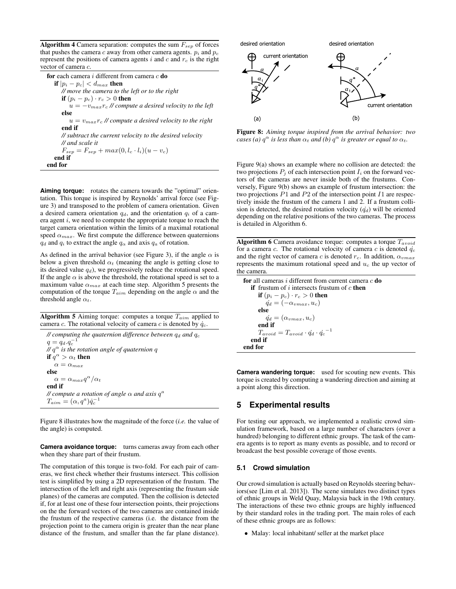**Algorithm 4** Camera separation: computes the sum  $F_{sep}$  of forces that pushes the camera  $c$  away from other camera agents.  $p_i$  and  $p_c$ represent the positions of camera agents  $i$  and  $c$  and  $r_c$  is the right vector of camera c.

| <b>for</b> each camera i different from camera $c$ <b>do</b> |
|--------------------------------------------------------------|
| if $ p_i - p_c  < d_{max}$ then                              |
| // move the camera to the left or to the right               |
| if $(p_i - p_c) \cdot r_c > 0$ then                          |
| $u = -v_{max}r_c$ // compute a desired velocity to the left  |
| else                                                         |
| $u = v_{max} r_c$ // compute a desired velocity to the right |
| end if                                                       |
| // subtract the current velocity to the desired velocity     |
| $\mathcal{U}$ and scale it                                   |
| $F_{sep} = F_{sep} + max(0, l_c \cdot l_i)(u - v_c)$         |
| end if                                                       |
| end for                                                      |

**Aiming torque:** rotates the camera towards the "optimal" orientation. This torque is inspired by Reynolds' arrival force (see Figure [3\)](#page-3-1) and transposed to the problem of camera orientation. Given a desired camera orientation  $q_d$ , and the orientation  $q_i$  of a camera agent  $i$ , we need to compute the appropriate torque to reach the target camera orientation within the limits of a maximal rotational speed  $\alpha_{max}$ . We first compute the difference between quaternions  $q_d$  and  $q_i$  to extract the angle  $q_\alpha$  and axis  $q_a$  of rotation.

As defined in the arrival behavior (see Figure [3\)](#page-3-1), if the angle  $\alpha$  is below a given threshold  $\alpha_t$  (meaning the angle is getting close to its desired value  $q_d$ ), we progressively reduce the rotational speed. If the angle  $\alpha$  is above the threshold, the rotational speed is set to a maximum value  $\alpha_{max}$  at each time step. Algorithm [5](#page-1-0) presents the computation of the torque  $T_{aim}$  depending on the angle  $\alpha$  and the threshold angle  $\alpha_t$ .

**Algorithm 5** Aiming torque: computes a torque  $T_{aim}$  applied to camera c. The rotational velocity of camera c is denoted by  $\dot{q}_c$ .

 $\ell$  computing the quaternion difference between  $q_d$  and  $q_c$  $q = q_d.q_c^{-1}$ *//* q α *is the rotation angle of quaternion* q if  $\tilde{q}^{\alpha} > \alpha_t$  then  $\alpha = \alpha_{max}$ else  $\alpha = \alpha_{max} q^{\alpha}/\alpha_t$ end if *// compute a rotation of angle*  $\alpha$  *and axis*  $q^a$  $T_{aim}=(\alpha,q^a)\dot{q}_c^{-1}$ 

Figure [8](#page-6-0) illustrates how the magnitude of the force (*i.e.* the value of the angle) is computed.

**Camera avoidance torque:** turns cameras away from each other when they share part of their frustum.

The computation of this torque is two-fold. For each pair of cameras, we first check whether their frustums intersect. This collision test is simplified by using a 2D representation of the frustum. The intersection of the left and right axis (representing the frustum side planes) of the cameras are computed. Then the collision is detected if, for at least one of these four intersection points, their projections on the the forward vectors of the two cameras are contained inside the frustum of the respective cameras (i.e. the distance from the projection point to the camera origin is greater than the near plane distance of the frustum, and smaller than the far plane distance).

<span id="page-6-0"></span>

Figure 8: *Aiming torque inspired from the arrival behavior: two cases (a)*  $q^{\alpha}$  *is less than*  $\alpha_t$  *and (b)*  $q^{\alpha}$  *is greater or equal to*  $\alpha_t$ *.* 

Figure [9\(](#page-7-0)a) shows an example where no collision are detected: the two projections  $P_j$  of each intersection point  $I_i$  on the forward vectors of the cameras are never inside both of the frustums. Conversely, Figure [9\(](#page-7-0)b) shows an example of frustum intersection: the two projections  $P1$  and  $P2$  of the intersection point  $I1$  are respectively inside the frustum of the camera 1 and 2. If a frustum collision is detected, the desired rotation velocity  $(\dot{q}_d)$  will be oriented depending on the relative positions of the two cameras. The process is detailed in Algorithm [6.](#page-1-0)

**Algorithm 6** Camera avoidance torque: computes a torque  $T_{avoid}$ for a camera c. The rotational velocity of camera c is denoted  $q_c$ and the right vector of camera c is denoted  $r_c$ . In addition,  $\alpha_{vmax}$ represents the maximum rotational speed and  $u_c$  the up vector of the camera.

for all cameras  $i$  different from current camera  $c$  do if frustum of i intersects frustum of  $c$  then if  $(p_i - p_c) \cdot r_c > 0$  then  $\dot{q_d} = (-\alpha_{vmax}, u_c)$ else  $\dot{q_d} = (\alpha_{vmax}, u_c)$ end if  $T_{avoid} = T_{avoid} \cdot \dot{q_d} \cdot \dot{q_c}^{-1}$ end if end for

**Camera wandering torque:** used for scouting new events. This torque is created by computing a wandering direction and aiming at a point along this direction.

## **5 Experimental results**

For testing our approach, we implemented a realistic crowd simulation framework, based on a large number of characters (over a hundred) belonging to different ethnic groups. The task of the camera agents is to report as many events as possible, and to record or broadcast the best possible coverage of those events.

#### **5.1 Crowd simulation**

Our crowd simulation is actually based on Reynolds steering behaviors(see [\[Lim et al. 2013\]](#page-9-12)). The scene simulates two distinct types of ethnic groups in Weld Quay, Malaysia back in the 19th century. The interactions of these two ethnic groups are highly influenced by their standard roles in the trading port. The main roles of each of these ethnic groups are as follows:

• Malay: local inhabitant/ seller at the market place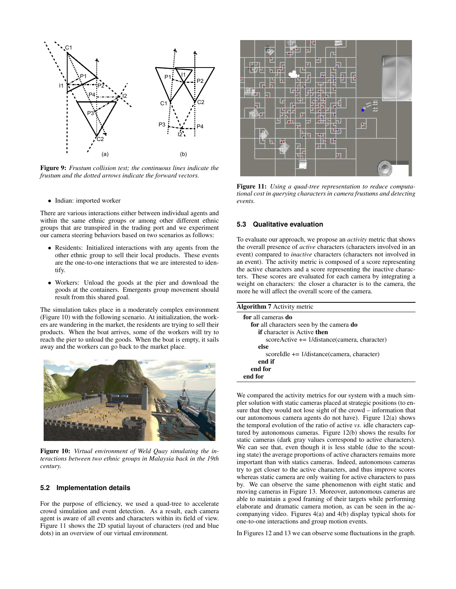<span id="page-7-0"></span>

Figure 9: *Frustum collision test; the continuous lines indicate the frustum and the dotted arrows indicate the forward vectors.*

• Indian: imported worker

There are various interactions either between individual agents and within the same ethnic groups or among other different ethnic groups that are transpired in the trading port and we experiment our camera steering behaviors based on two scenarios as follows:

- Residents: Initialized interactions with any agents from the other ethnic group to sell their local products. These events are the one-to-one interactions that we are interested to identify.
- Workers: Unload the goods at the pier and download the goods at the containers. Emergents group movement should result from this shared goal.

The simulation takes place in a moderately complex environment (Figure [10\)](#page-7-1) with the following scenario. At initialization, the workers are wandering in the market, the residents are trying to sell their products. When the boat arrives, some of the workers will try to reach the pier to unload the goods. When the boat is empty, it sails away and the workers can go back to the market place.

<span id="page-7-1"></span>

Figure 10: *Virtual environment of Weld Quay simulating the interactions between two ethnic groups in Malaysia back in the 19th century.*

#### **5.2 Implementation details**

For the purpose of efficiency, we used a quad-tree to accelerate crowd simulation and event detection. As a result, each camera agent is aware of all events and characters within its field of view. Figure [11](#page-7-2) shows the 2D spatial layout of characters (red and blue dots) in an overview of our virtual environment.

<span id="page-7-2"></span>

Figure 11: *Using a quad-tree representation to reduce computational cost in querying characters in camera frustums and detecting events.*

#### **5.3 Qualitative evaluation**

To evaluate our approach, we propose an *activity* metric that shows the overall presence of *active* characters (characters involved in an event) compared to *inactive* characters (characters not involved in an event). The activity metric is composed of a score representing the active characters and a score representing the inactive characters. These scores are evaluated for each camera by integrating a weight on characters: the closer a character is to the camera, the more he will affect the overall score of the camera.

| <b>Algorithm 7</b> Activity metric              |
|-------------------------------------------------|
| for all cameras do                              |
| for all characters seen by the camera <b>do</b> |
| <b>if</b> character is Active <b>then</b>       |
| $scoreActive += 1/distance(camera, character)$  |
| else                                            |
| scoreIdle $+= 1/d$ istance(camera, character)   |
| end if                                          |
| end for                                         |
| end for                                         |
|                                                 |

We compared the activity metrics for our system with a much simpler solution with static cameras placed at strategic positions (to ensure that they would not lose sight of the crowd – information that our autonomous camera agents do not have). Figure [12\(](#page-8-0)a) shows the temporal evolution of the ratio of active *vs.* idle characters captured by autonomous cameras. Figure [12\(](#page-8-0)b) shows the results for static cameras (dark gray values correspond to active characters). We can see that, even though it is less stable (due to the scouting state) the average proportions of active characters remains more important than with statics cameras. Indeed, autonomous cameras try to get closer to the active characters, and thus improve scores whereas static camera are only waiting for active characters to pass by. We can observe the same phenomenon with eight static and moving cameras in Figure [13.](#page-8-1) Moreover, autonomous cameras are able to maintain a good framing of their targets while performing elaborate and dramatic camera motion, as can be seen in the accompanying video. Figures [4\(](#page-4-0)a) and [4\(](#page-4-0)b) display typical shots for one-to-one interactions and group motion events.

In Figures [12](#page-8-0) and [13](#page-8-1) we can observe some fluctuations in the graph.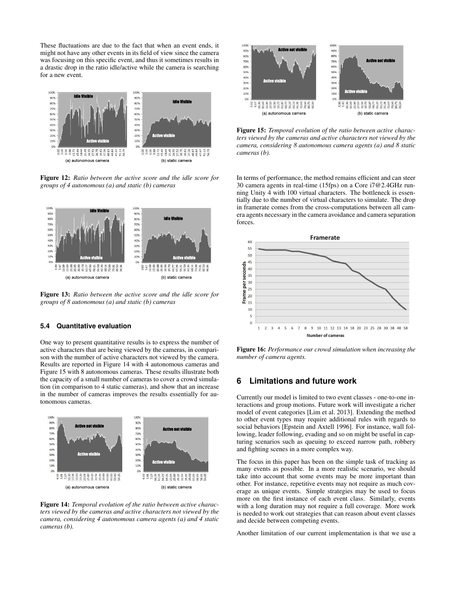These fluctuations are due to the fact that when an event ends, it might not have any other events in its field of view since the camera was focusing on this specific event, and thus it sometimes results in a drastic drop in the ratio idle/active while the camera is searching for a new event.

<span id="page-8-0"></span>

Figure 12: *Ratio between the active score and the idle score for groups of 4 autonomous (a) and static (b) cameras*

<span id="page-8-1"></span>

Figure 13: *Ratio between the active score and the idle score for groups of 8 autonomous (a) and static (b) cameras*

#### **5.4 Quantitative evaluation**

One way to present quantitative results is to express the number of active characters that are being viewed by the cameras, in comparison with the number of active characters not viewed by the camera. Results are reported in Figure [14](#page-8-2) with 4 autonomous cameras and Figure [15](#page-8-3) with 8 autonomous cameras. These results illustrate both the capacity of a small number of cameras to cover a crowd simulation (in comparison to 4 static cameras), and show that an increase in the number of cameras improves the results essentially for autonomous cameras.

<span id="page-8-2"></span>

Figure 14: *Temporal evolution of the ratio between active characters viewed by the cameras and active characters not viewed by the camera, considering 4 autonomous camera agents (a) and 4 static cameras (b).*

<span id="page-8-3"></span>

Figure 15: *Temporal evolution of the ratio between active characters viewed by the cameras and active characters not viewed by the camera, considering 8 autonomous camera agents (a) and 8 static cameras (b).*

In terms of performance, the method remains efficient and can steer 30 camera agents in real-time (15fps) on a Core i7@2.4GHz running Unity 4 with 100 virtual characters. The bottleneck is essentially due to the number of virtual characters to simulate. The drop in framerate comes from the cross-computations between all camera agents necessary in the camera avoidance and camera separation forces.



Figure 16: *Performance our crowd simulation when increasing the number of camera agents.*

# **6 Limitations and future work**

Currently our model is limited to two event classes - one-to-one interactions and group motions. Future work will investigate a richer model of event categories [\[Lim et al. 2013\]](#page-9-12). Extending the method to other event types may require additional rules with regards to social behaviors [\[Epstein and Axtell 1996\]](#page-9-13). For instance, wall following, leader following, evading and so on might be useful in capturing scenarios such as queuing to exceed narrow path, robbery and fighting scenes in a more complex way.

The focus in this paper has been on the simple task of tracking as many events as possible. In a more realistic scenario, we should take into account that some events may be more important than other. For instance, repetitive events may not require as much coverage as unique events. Simple strategies may be used to focus more on the first instance of each event class. Similarly, events with a long duration may not require a full coverage. More work is needed to work out strategies that can reason about event classes and decide between competing events.

Another limitation of our current implementation is that we use a